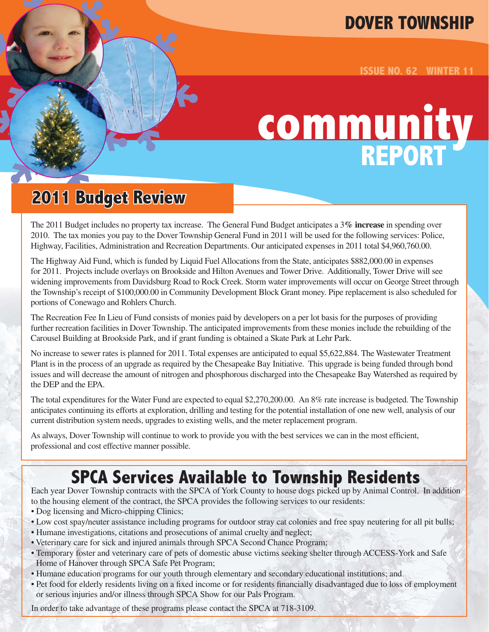#### **DOVER TOWNSHIP**

**ISSUE NO. 62 WINTER 11**

# **community REPORT**

### **2011 Budget Review**

The 2011 Budget includes no property tax increase. The General Fund Budget anticipates a 3**% increase** in spending over 2010. The tax monies you pay to the Dover Township General Fund in 2011 will be used for the following services: Police, Highway, Facilities, Administration and Recreation Departments. Our anticipated expenses in 2011 total \$4,960,760.00.

The Highway Aid Fund, which is funded by Liquid Fuel Allocations from the State, anticipates \$882,000.00 in expenses for 2011. Projects include overlays on Brookside and Hilton Avenues and Tower Drive. Additionally, Tower Drive will see widening improvements from Davidsburg Road to Rock Creek. Storm water improvements will occur on George Street through the Township's receipt of \$100,000.00 in Community Development Block Grant money. Pipe replacement is also scheduled for portions of Conewago and Rohlers Church.

The Recreation Fee In Lieu of Fund consists of monies paid by developers on a per lot basis for the purposes of providing further recreation facilities in Dover Township. The anticipated improvements from these monies include the rebuilding of the Carousel Building at Brookside Park, and if grant funding is obtained a Skate Park at Lehr Park.

No increase to sewer rates is planned for 2011. Total expenses are anticipated to equal \$5,622,884. The Wastewater Treatment Plant is in the process of an upgrade as required by the Chesapeake Bay Initiative. This upgrade is being funded through bond issues and will decrease the amount of nitrogen and phosphorous discharged into the Chesapeake Bay Watershed as required by the DEP and the EPA.

The total expenditures for the Water Fund are expected to equal \$2,270,200.00. An 8% rate increase is budgeted. The Township anticipates continuing its efforts at exploration, drilling and testing for the potential installation of one new well, analysis of our current distribution system needs, upgrades to existing wells, and the meter replacement program.

As always, Dover Township will continue to work to provide you with the best services we can in the most efficient, professional and cost effective manner possible.

#### **SPCA Services Available to Township Residents**

Each year Dover Township contracts with the SPCA of York County to house dogs picked up by Animal Control. In addition to the housing element of the contract, the SPCA provides the following services to our residents:

- Dog licensing and Micro-chipping Clinics;
- Low cost spay/neuter assistance including programs for outdoor stray cat colonies and free spay neutering for all pit bulls;
- Humane investigations, citations and prosecutions of animal cruelty and neglect;
- Veterinary care for sick and injured animals through SPCA Second Chance Program;
- Temporary foster and veterinary care of pets of domestic abuse victims seeking shelter through ACCESS-York and Safe Home of Hanover through SPCA Safe Pet Program;
- Humane education programs for our youth through elementary and secondary educational institutions; and
- Pet food for elderly residents living on a fixed income or for residents financially disadvantaged due to loss of employment or serious injuries and/or illness through SPCA Show for our Pals Program.

In order to take advantage of these programs please contact the SPCA at 718-3109.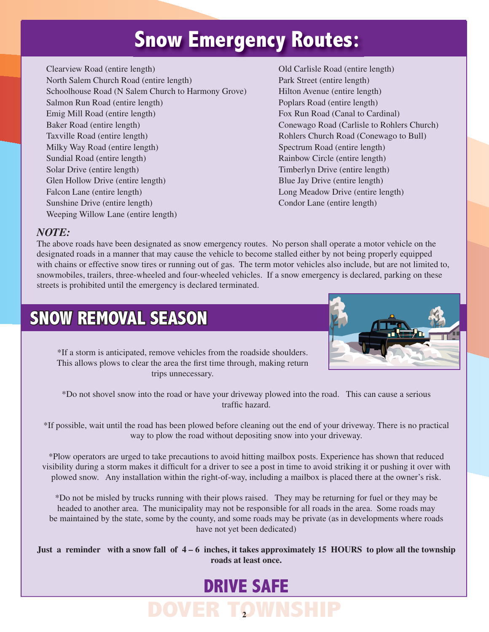## **Snow Emergency Routes:**

Clearview Road (entire length) Old Carlisle Road (entire length) North Salem Church Road (entire length) Park Street (entire length) Schoolhouse Road (N Salem Church to Harmony Grove) Hilton Avenue (entire length) Salmon Run Road (entire length) Poplars Road (entire length) Emig Mill Road (entire length) Fox Run Road (Canal to Cardinal) Baker Road (entire length) Conewago Road (Carlisle to Rohlers Church) Taxville Road (entire length) Rohlers Church Road (Conewago to Bull) Milky Way Road (entire length) Spectrum Road (entire length) Sundial Road (entire length) Rainbow Circle (entire length) Rainbow Circle (entire length) Solar Drive (entire length) Timberlyn Drive (entire length) Timberlyn Drive (entire length) Glen Hollow Drive (entire length) Blue Jay Drive (entire length) Falcon Lane (entire length) Long Meadow Drive (entire length) Sunshine Drive (entire length) Condor Lane (entire length) Weeping Willow Lane (entire length)

#### *NOTE:*

The above roads have been designated as snow emergency routes. No person shall operate a motor vehicle on the designated roads in a manner that may cause the vehicle to become stalled either by not being properly equipped with chains or effective snow tires or running out of gas. The term motor vehicles also include, but are not limited to, snowmobiles, trailers, three-wheeled and four-wheeled vehicles. If a snow emergency is declared, parking on these streets is prohibited until the emergency is declared terminated.

### **SNOW REMOVAL SEASON**



\*If a storm is anticipated, remove vehicles from the roadside shoulders. This allows plows to clear the area the first time through, making return trips unnecessary.

\*Do not shovel snow into the road or have your driveway plowed into the road. This can cause a serious traffic hazard.

\*If possible, wait until the road has been plowed before cleaning out the end of your driveway. There is no practical way to plow the road without depositing snow into your driveway.

\*Plow operators are urged to take precautions to avoid hitting mailbox posts. Experience has shown that reduced visibility during a storm makes it difficult for a driver to see a post in time to avoid striking it or pushing it over with plowed snow. Any installation within the right-of-way, including a mailbox is placed there at the owner's risk.

\*Do not be misled by trucks running with their plows raised. They may be returning for fuel or they may be headed to another area. The municipality may not be responsible for all roads in the area. Some roads may be maintained by the state, some by the county, and some roads may be private (as in developments where roads have not yet been dedicated)

**Just a reminder with a snow fall of 4 – 6 inches, it takes approximately 15 HOURS to plow all the township roads at least once.**

## **DRIVE SAFE**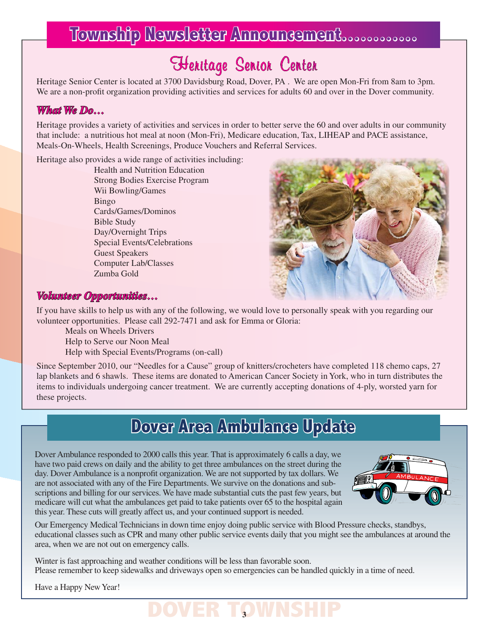### **Township Newsletter Announcement…………**

700 Davidsburg Road, Dover, PA. We are<br>ding activities and services for adults 60 a Heritage Senior Center is located at 3700 Davidsburg Road, Dover, PA . We are open Mon-Fri from 8am to 3pm. We are a non-profit organization providing activities and services for adults 60 and over in the Dover community.

#### *What We Do…*

Heritage provides a variety of activities and services in order to better serve the 60 and over adults in our community that include: a nutritious hot meal at noon (Mon-Fri), Medicare education, Tax, LIHEAP and PACE assistance, Meals-On-Wheels, Health Screenings, Produce Vouchers and Referral Services.

Heritage also provides a wide range of activities including:

Health and Nutrition Education Strong Bodies Exercise Program Wii Bowling/Games Bingo Cards/Games/Dominos Bible Study Day/Overnight Trips Special Events/Celebrations Guest Speakers Computer Lab/Classes Zumba Gold



#### *Volunteer Opportunities…*

If you have skills to help us with any of the following, we would love to personally speak with you regarding our volunteer opportunities. Please call 292-7471 and ask for Emma or Gloria:

Meals on Wheels Drivers

Help to Serve our Noon Meal

Help with Special Events/Programs (on-call)

Since September 2010, our "Needles for a Cause" group of knitters/crocheters have completed 118 chemo caps, 27 lap blankets and 6 shawls. These items are donated to American Cancer Society in York, who in turn distributes the items to individuals undergoing cancer treatment. We are currently accepting donations of 4-ply, worsted yarn for these projects.

#### **Dover Area Ambulance Update**

Dover Ambulance responded to 2000 calls this year. That is approximately 6 calls a day, we have two paid crews on daily and the ability to get three ambulances on the street during the day. Dover Ambulance is a nonprofit organization. We are not supported by tax dollars. We are not associated with any of the Fire Departments. We survive on the donations and subscriptions and billing for our services. We have made substantial cuts the past few years, but medicare will cut what the ambulances get paid to take patients over 65 to the hospital again this year. These cuts will greatly affect us, and your continued support is needed.



Our Emergency Medical Technicians in down time enjoy doing public service with Blood Pressure checks, standbys, educational classes such as CPR and many other public service events daily that you might see the ambulances at around the area, when we are not out on emergency calls.

Winter is fast approaching and weather conditions will be less than favorable soon. Please remember to keep sidewalks and driveways open so emergencies can be handled quickly in a time of need.

Have a Happy New Year!

## **DOVER TOWNS**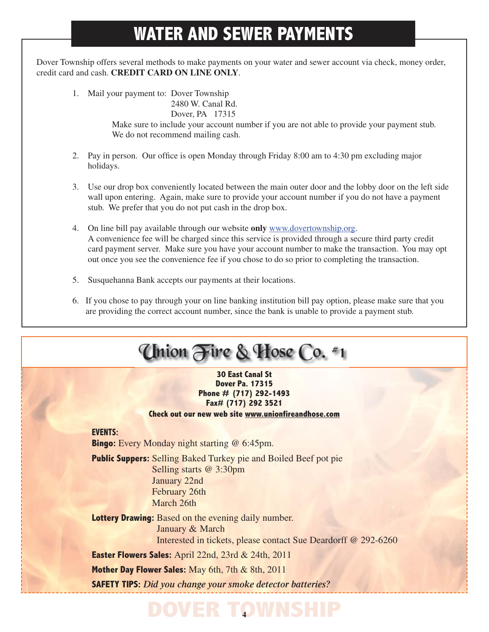## **WATER AND SEWER PAYMENTS**

Dover Township offers several methods to make payments on your water and sewer account via check, money order, credit card and cash. **CREDIT CARD ON LINE ONLY**.

1. Mail your payment to: Dover Township

2480 W. Canal Rd. Dover, PA 17315

 Make sure to include your account number if you are not able to provide your payment stub. We do not recommend mailing cash.

- 2. Pay in person. Our office is open Monday through Friday 8:00 am to 4:30 pm excluding major holidays.
- 3. Use our drop box conveniently located between the main outer door and the lobby door on the left side wall upon entering. Again, make sure to provide your account number if you do not have a payment stub. We prefer that you do not put cash in the drop box.
- 4. On line bill pay available through our website **only** www.dovertownship.org. A convenience fee will be charged since this service is provided through a secure third party credit card payment server. Make sure you have your account number to make the transaction. You may opt out once you see the convenience fee if you chose to do so prior to completing the transaction.
- 5. Susquehanna Bank accepts our payments at their locations.
- 6. If you chose to pay through your on line banking institution bill pay option, please make sure that you are providing the correct account number, since the bank is unable to provide a payment stub.

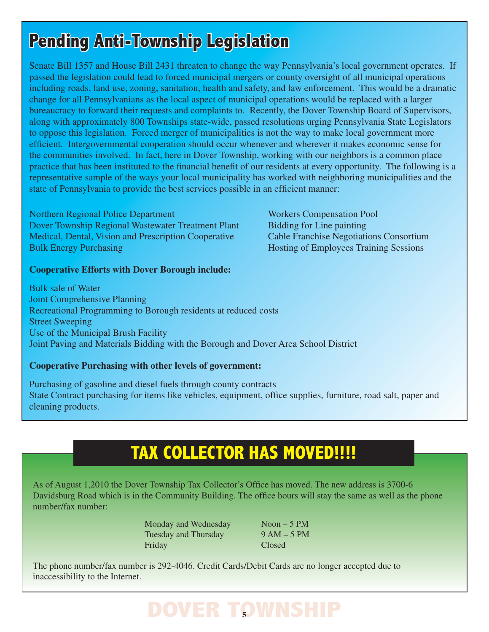## **Pending Anti-Township Legislation**

Senate Bill 1357 and House Bill 2431 threaten to change the way Pennsylvania's local government operates. If passed the legislation could lead to forced municipal mergers or county oversight of all municipal operations including roads, land use, zoning, sanitation, health and safety, and law enforcement. This would be a dramatic change for all Pennsylvanians as the local aspect of municipal operations would be replaced with a larger bureaucracy to forward their requests and complaints to. Recently, the Dover Township Board of Supervisors, along with approximately 800 Townships state-wide, passed resolutions urging Pennsylvania State Legislators to oppose this legislation. Forced merger of municipalities is not the way to make local government more efficient. Intergovernmental cooperation should occur whenever and wherever it makes economic sense for the communities involved. In fact, here in Dover Township, working with our neighbors is a common place practice that has been instituted to the financial benefit of our residents at every opportunity. The following is a representative sample of the ways your local municipality has worked with neighboring municipalities and the state of Pennsylvania to provide the best services possible in an efficient manner:

Northern Regional Police Department Workers Compensation Pool Dover Township Regional Wastewater Treatment Plant Bidding for Line painting Medical, Dental, Vision and Prescription Cooperative Cable Franchise Negotiations Consortium Bulk Energy Purchasing Hosting Hosting of Employees Training Sessions

**Cooperative Efforts with Dover Borough include:**

Bulk sale of Water Joint Comprehensive Planning Recreational Programming to Borough residents at reduced costs Street Sweeping Use of the Municipal Brush Facility Joint Paving and Materials Bidding with the Borough and Dover Area School District

#### **Cooperative Purchasing with other levels of government:**

Purchasing of gasoline and diesel fuels through county contracts State Contract purchasing for items like vehicles, equipment, office supplies, furniture, road salt, paper and cleaning products.

## **TAX COLLECTOR HAS MOVED!!!!**

As of August 1,2010 the Dover Township Tax Collector's Office has moved. The new address is 3700-6 Davidsburg Road which is in the Community Building. The office hours will stay the same as well as the phone number/fax number:

> Monday and Wednesday Noon – 5 PM Tuesday and Thursday 9 AM – 5 PM Friday Closed

The phone number/fax number is 292-4046. Credit Cards/Debit Cards are no longer accepted due to inaccessibility to the Internet.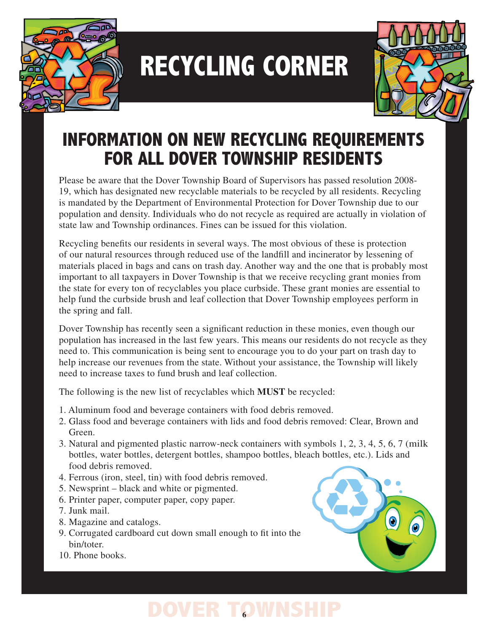

## **RECYCLING CORNER**



## **INFORMATION ON NEW RECYCLING REQUIREMENTS FOR ALL DOVER TOWNSHIP RESIDENTS**

Please be aware that the Dover Township Board of Supervisors has passed resolution 2008- 19, which has designated new recyclable materials to be recycled by all residents. Recycling is mandated by the Department of Environmental Protection for Dover Township due to our population and density. Individuals who do not recycle as required are actually in violation of state law and Township ordinances. Fines can be issued for this violation.

Recycling benefits our residents in several ways. The most obvious of these is protection of our natural resources through reduced use of the landfill and incinerator by lessening of materials placed in bags and cans on trash day. Another way and the one that is probably most important to all taxpayers in Dover Township is that we receive recycling grant monies from the state for every ton of recyclables you place curbside. These grant monies are essential to help fund the curbside brush and leaf collection that Dover Township employees perform in the spring and fall.

Dover Township has recently seen a significant reduction in these monies, even though our population has increased in the last few years. This means our residents do not recycle as they need to. This communication is being sent to encourage you to do your part on trash day to help increase our revenues from the state. Without your assistance, the Township will likely need to increase taxes to fund brush and leaf collection.

The following is the new list of recyclables which **MUST** be recycled:

- 1. Aluminum food and beverage containers with food debris removed.
- 2. Glass food and beverage containers with lids and food debris removed: Clear, Brown and Green.
- 3. Natural and pigmented plastic narrow-neck containers with symbols 1, 2, 3, 4, 5, 6, 7 (milk bottles, water bottles, detergent bottles, shampoo bottles, bleach bottles, etc.). Lids and food debris removed.
- 4. Ferrous (iron, steel, tin) with food debris removed.
- 5. Newsprint black and white or pigmented.
- 6. Printer paper, computer paper, copy paper.
- 7. Junk mail.
- 8. Magazine and catalogs.
- 9. Corrugated cardboard cut down small enough to fit into the bin/toter.
- 10. Phone books.

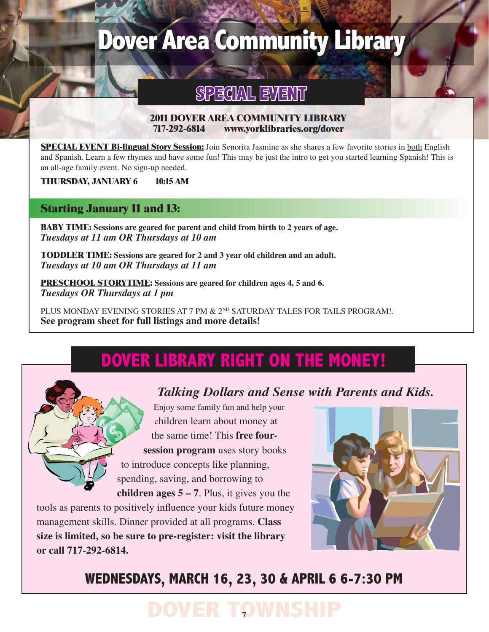## **Dover Area Community Library**

#### **SPECIAL EVENT**

#### **2011 DOVER AREA COMMUNITY LIBRARY 717-292-6814 www.yorklibraries.org/dover**

**SPECIAL EVENT Bi-lingual Story Session:** Join Senorita Jasmine as she shares a few favorite stories in both English and Spanish. Learn a few rhymes and have some fun! This may be just the intro to get you started learning Spanish! This is an all-age family event. No sign-up needed.

**THURSDAY, JANUARY 6 10:15 AM**

#### **Starting January 11 and 13:**

**BABY TIME: Sessions are geared for parent and child from birth to 2 years of age.** *Tuesdays at 11 am OR Thursdays at 10 am*

**TODDLER TIME: Sessions are geared for 2 and 3 year old children and an adult.** *Tuesdays at 10 am OR Thursdays at 11 am*

**PRESCHOOL STORYTIME: Sessions are geared for children ages 4, 5 and 6.** *Tuesdays OR Thursdays at 1 pm*

PLUS MONDAY EVENING STORIES AT 7 PM & 2<sup>ND</sup> SATURDAY TALES FOR TAILS PROGRAM!. **See program sheet for full listings and more details!**

### **DOVER LIBRARY RIGHT ON THE MONEY!**



*Talking Dollars and Sense with Parents and Kids.*

Enjoy some family fun and help your children learn about money at the same time! This **free four session program** uses story books to introduce concepts like planning, spending, saving, and borrowing to **children ages 5 – 7**. Plus, it gives you the

tools as parents to positively influence your kids future money management skills. Dinner provided at all programs. **Class size is limited, so be sure to pre-register: visit the library or call 717-292-6814.**



#### **WEDNESDAYS, MARCH 16, 23, 30 & APRIL 6 6-7:30 PM**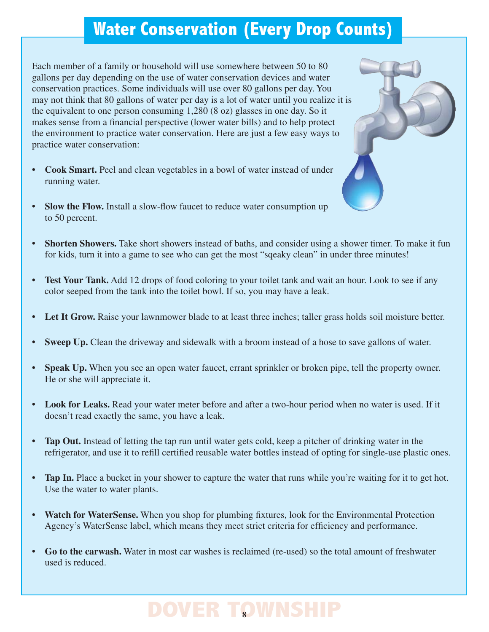### **Water Conservation (Every Drop Counts)**

Each member of a family or household will use somewhere between 50 to 80 gallons per day depending on the use of water conservation devices and water conservation practices. Some individuals will use over 80 gallons per day. You may not think that 80 gallons of water per day is a lot of water until you realize it is the equivalent to one person consuming 1,280 (8 oz) glasses in one day. So it makes sense from a financial perspective (lower water bills) and to help protect the environment to practice water conservation. Here are just a few easy ways to practice water conservation:

- **Cook Smart.** Peel and clean vegetables in a bowl of water instead of under running water.
- **Slow the Flow.** Install a slow-flow faucet to reduce water consumption up to 50 percent.
- **Shorten Showers.** Take short showers instead of baths, and consider using a shower timer. To make it fun for kids, turn it into a game to see who can get the most "sqeaky clean" in under three minutes!
- **Test Your Tank.** Add 12 drops of food coloring to your toilet tank and wait an hour. Look to see if any color seeped from the tank into the toilet bowl. If so, you may have a leak.
- Let It Grow. Raise your lawnmower blade to at least three inches; taller grass holds soil moisture better.
- **Sweep Up.** Clean the driveway and sidewalk with a broom instead of a hose to save gallons of water.
- **Speak Up.** When you see an open water faucet, errant sprinkler or broken pipe, tell the property owner. He or she will appreciate it.
- **Look for Leaks.** Read your water meter before and after a two-hour period when no water is used. If it doesn't read exactly the same, you have a leak.
- **Tap Out.** Instead of letting the tap run until water gets cold, keep a pitcher of drinking water in the refrigerator, and use it to refill certified reusable water bottles instead of opting for single-use plastic ones.
- **Tap In.** Place a bucket in your shower to capture the water that runs while you're waiting for it to get hot. Use the water to water plants.
- Watch for WaterSense. When you shop for plumbing fixtures, look for the Environmental Protection Agency's WaterSense label, which means they meet strict criteria for efficiency and performance.
- **Go to the carwash.** Water in most car washes is reclaimed (re-used) so the total amount of freshwater used is reduced.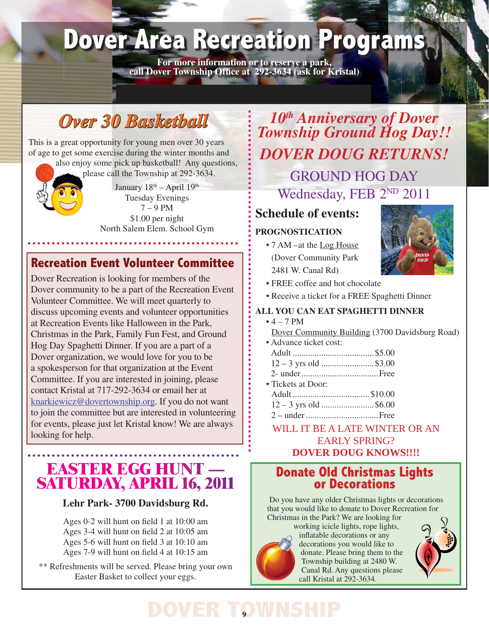## **Dover Area Recreation Programs**

**For more information or to reserve a park,** call Dover Township Office at 292-3634 (ask for Kristal)

## *Over 30 Basketball*

This is a great opportunity for young men over 30 years of age to get some exercise during the winter months and also enjoy some pick up basketball! Any questions,

please call the Township at 292-3634.

January  $18<sup>th</sup> - April 19<sup>th</sup>$ Tuesday Evenings 7 – 9 PM \$1.00 per night North Salem Elem. School Gym

**\*\*\*\*\*\*\*\*\*\*\*\***\*

#### **Recreation Event Volunteer Committee**

Dover Recreation is looking for members of the Dover community to be a part of the Recreation Event Volunteer Committee. We will meet quarterly to discuss upcoming events and volunteer opportunities at Recreation Events like Halloween in the Park, Christmas in the Park, Family Fun Fest, and Ground Hog Day Spaghetti Dinner. If you are a part of a Dover organization, we would love for you to be a spokesperson for that organization at the Event Committee. If you are interested in joining, please contact Kristal at 717-292-3634 or email her at knarkiewicz@dovertownship.org. If you do not want to join the committee but are interested in volunteering for events, please just let Kristal know! We are always looking for help.

## **EASTER EGG HUNT — SATURDAY, APRIL 16, <sup>2011</sup>**

#### **Lehr Park- 3700 Davidsburg Rd.**

Ages  $0-2$  will hunt on field 1 at  $10:00$  am Ages  $3-4$  will hunt on field  $2$  at  $10:05$  am Ages  $5-6$  will hunt on field  $3$  at  $10:10$  am Ages 7-9 will hunt on field 4 at 10:15 am

\*\* Refreshments will be served. Please bring your own Easter Basket to collect your eggs.

*10<sup>th</sup> Anniversary of Dover Township Ground Hog Day!! DOVER DOUG RETURNS!* GROUND HOG DAY

## Wednesday, FEB 2<sup>ND</sup> 2011

#### **Schedule of events:**

#### **PROGNOSTICATION**

• 7 AM –at the Log House (Dover Community Park 2481 W. Canal Rd)



- FREE coffee and hot chocolate
- Receive a ticket for a FREE Spaghetti Dinner

#### **ALL YOU CAN EAT SPAGHETTI DINNER**

- $4 7 PM$ Dover Community Building (3700 Davidsburg Road)
- Advance ticket cost: Adult .....................................\$5.00 12 – 3 yrs old ........................\$3.00
- 2- under ...................................Free • Tickets at Door:
- Adult ...................................\$10.00
- 12 3 yrs old ........................\$6.00
- 2 under .................................Free

#### WILL IT BE A LATE WINTER OR AN EARLY SPRING? **DOVER DOUG KNOWS!!!!**

## **Donate Old Christmas Lights or Decorations**

Do you have any older Christmas lights or decorations that you would like to donate to Dover Recreation for Christmas in the Park? We are looking for



working icicle lights, rope lights, inflatable decorations or any decorations you would like to donate. Please bring them to the Township building at 2480 W. Canal Rd. Any questions please call Kristal at 292-3634.

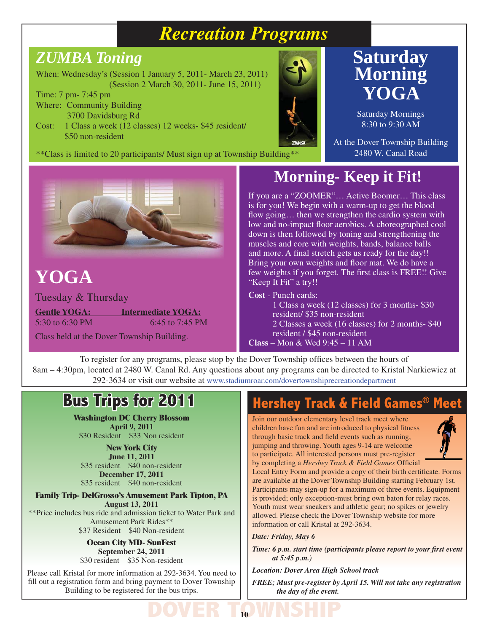#### *Recreation Programs*

#### *ZUMBA Toning*

When: Wednesday's (Session 1 January 5, 2011- March 23, 2011) (Session 2 March 30, 2011- June 15, 2011)

Time: 7 pm- 7:45 pm Where: Community Building

3700 Davidsburg Rd Cost: 1 Class a week (12 classes) 12 weeks- \$45 resident/ \$50 non-resident



#### **Saturday Morning YOGA**

Saturday Mornings 8:30 to 9:30 AM

At the Dover Township Building 2480 W. Canal Road



### **YOGA**

Tuesday & Thursday **Gentle YOGA: Intermediate YOGA:** 5:30 to 6:30 PM 6:45 to 7:45 PM

Class held at the Dover Township Building.

#### **Morning- Keep it Fit!**

If you are a "ZOOMER"… Active Boomer… This class is for you! We begin with a warm-up to get the blood flow going... then we strengthen the cardio system with low and no-impact floor aerobics. A choreographed cool down is then followed by toning and strengthening the muscles and core with weights, bands, balance balls and more. A final stretch gets us ready for the day!! Bring your own weights and floor mat. We do have a few weights if you forget. The first class is FREE!! Give "Keep It Fit" a try!!

**Cost** - Punch cards:

1 Class a week (12 classes) for 3 months- \$30 resident/ \$35 non-resident 2 Classes a week (16 classes) for 2 months- \$40 resident / \$45 non-resident **Class** – Mon & Wed 9:45 – 11 AM

To register for any programs, please stop by the Dover Township offices between the hours of 8am – 4:30pm, located at 2480 W. Canal Rd. Any questions about any programs can be directed to Kristal Narkiewicz at 292-3634 or visit our website at www.stadiumroar.com/dovertownshiprecreationdepartment

#### **Bus Trips for 2011**

**Washington DC Cherry Blossom April 9, 2011** \$30 Resident \$33 Non resident

**New York City June 11, 2011** \$35 resident \$40 non-resident **December 17, 2011** \$35 resident \$40 non-resident

**Family Trip- DelGrosso's Amusement Park Tipton, PA August 13, 2011** \*\*Price includes bus ride and admission ticket to Water Park and Amusement Park Rides\*\* \$37 Resident \$40 Non-resident

> **Ocean City MD- SunFest September 24, 2011** \$30 resident \$35 Non-resident

Please call Kristal for more information at 292-3634. You need to fill out a registration form and bring payment to Dover Township Building to be registered for the bus trips.

#### **Hershey Track & Field Games®**

Join our outdoor elementary level track meet where children have fun and are introduced to physical fitness through basic track and field events such as running, jumping and throwing. Youth ages 9-14 are welcome to participate. All interested persons must pre-register by completing a *Hershey Track & Field Games* Official



Local Entry Form and provide a copy of their birth certificate. Forms are available at the Dover Township Building starting February 1st. Participants may sign-up for a maximum of three events. Equipment is provided; only exception-must bring own baton for relay races. Youth must wear sneakers and athletic gear; no spikes or jewelry allowed. Please check the Dover Township website for more information or call Kristal at 292-3634.

*Date: Friday, May 6*

*Time: 6 p.m. start time (participants please report to your first event at 5:45 p.m.)*

*Location: Dover Area High School track*

*FREE; Must pre-register by April 15. Will not take any registration the day of the event.*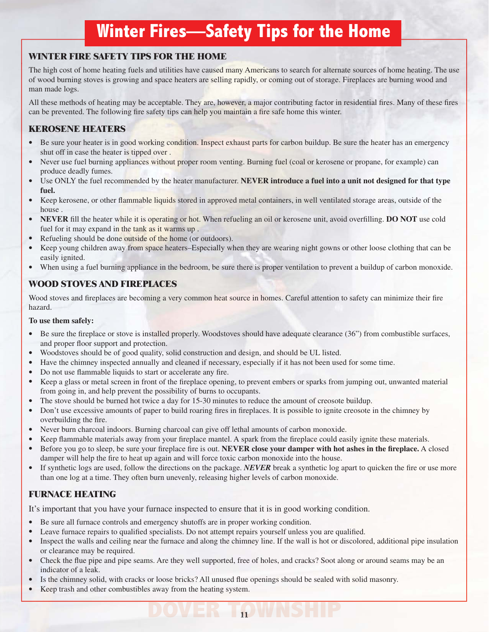### **Winter Fires—Safety Tips for the Home**

#### **WINTER FIRE SAFETY TIPS FOR THE HOME**

The high cost of home heating fuels and utilities have caused many Americans to search for alternate sources of home heating. The use of wood burning stoves is growing and space heaters are selling rapidly, or coming out of storage. Fireplaces are burning wood and man made logs.

All these methods of heating may be acceptable. They are, however, a major contributing factor in residential fires. Many of these fires can be prevented. The following fire safety tips can help you maintain a fire safe home this winter.

#### **KEROSENE HEATERS**

- Be sure your heater is in good working condition. Inspect exhaust parts for carbon buildup. Be sure the heater has an emergency shut off in case the heater is tipped over .
- Never use fuel burning appliances without proper room venting. Burning fuel (coal or kerosene or propane, for example) can produce deadly fumes.
- Use ONLY the fuel recommended by the heater manufacturer. **NEVER introduce a fuel into a unit not designed for that type fuel.**
- Keep kerosene, or other flammable liquids stored in approved metal containers, in well ventilated storage areas, outside of the house .
- **NEVER** fill the heater while it is operating or hot. When refueling an oil or kerosene unit, avoid overfilling. **DO NOT** use cold fuel for it may expand in the tank as it warms up .
- Refueling should be done outside of the home (or outdoors).
- Keep young children away from space heaters–Especially when they are wearing night gowns or other loose clothing that can be easily ignited.
- When using a fuel burning appliance in the bedroom, be sure there is proper ventilation to prevent a buildup of carbon monoxide.

#### **WOOD STOVES AND FIREPLACES**

Wood stoves and fireplaces are becoming a very common heat source in homes. Careful attention to safety can minimize their fire hazard.

#### **To use them safely:**

- Be sure the fireplace or stove is installed properly. Woodstoves should have adequate clearance (36") from combustible surfaces, and proper floor support and protection.
- Woodstoves should be of good quality, solid construction and design, and should be UL listed.
- Have the chimney inspected annually and cleaned if necessary, especially if it has not been used for some time.
- Do not use flammable liquids to start or accelerate any fire.
- Keep a glass or metal screen in front of the fireplace opening, to prevent embers or sparks from jumping out, unwanted material from going in, and help prevent the possibility of burns to occupants.
- The stove should be burned hot twice a day for 15-30 minutes to reduce the amount of creosote buildup.
- Don't use excessive amounts of paper to build roaring fires in fireplaces. It is possible to ignite creosote in the chimney by overbuilding the fire.
- Never burn charcoal indoors. Burning charcoal can give off lethal amounts of carbon monoxide.
- Keep flammable materials away from your fireplace mantel. A spark from the fireplace could easily ignite these materials.
- Before you go to sleep, be sure your fireplace fire is out. **NEVER close your damper with hot ashes in the fireplace.** A closed damper will help the fire to heat up again and will force toxic carbon monoxide into the house.
- If synthetic logs are used, follow the directions on the package. *NEVER* break a synthetic log apart to quicken the fire or use more than one log at a time. They often burn unevenly, releasing higher levels of carbon monoxide.

#### **FURNACE HEATING**

It's important that you have your furnace inspected to ensure that it is in good working condition.

- Be sure all furnace controls and emergency shutoffs are in proper working condition.
- Leave furnace repairs to qualified specialists. Do not attempt repairs yourself unless you are qualified.
- Inspect the walls and ceiling near the furnace and along the chimney line. If the wall is hot or discolored, additional pipe insulation or clearance may be required.

- Check the flue pipe and pipe seams. Are they well supported, free of holes, and cracks? Soot along or around seams may be an indicator of a leak.
- Is the chimney solid, with cracks or loose bricks? All unused flue openings should be sealed with solid masonry.
- Keep trash and other combustibles away from the heating system.